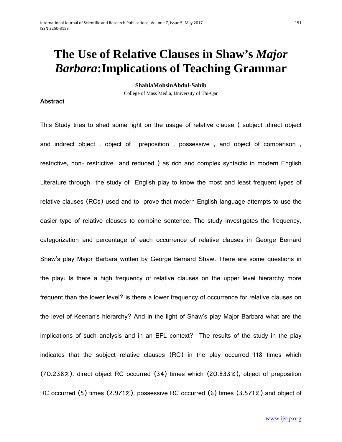# **The Use of Relative Clauses in Shaw's** *Major Barbara***:Implications of Teaching Grammar**

**ShahlaMohsinAbdul-Sahib**

College of Mass Media, University of Thi-Qar

#### **Abstract**

This Study tries to shed some light on the usage of relative clause ( subject ,direct object and indirect object , object of preposition , possessive , and object of comparison , restrictive, non- restrictive and reduced ) as rich and complex syntactic in modern English Literature through the study of English play to know the most and least frequent types of relative clauses (RCs) used and to prove that modern English language attempts to use the easier type of relative clauses to combine sentence. The study investigates the frequency, categorization and percentage of each occurrence of relative clauses in George Bernard Shaw's play Major Barbara written by George Bernard Shaw. There are some questions in the play: Is there a high frequency of relative clauses on the upper level hierarchy more frequent than the lower level? is there a lower frequency of occurrence for relative clauses on the level of Keenan's hierarchy? And in the light of Shaw's play Major Barbara what are the implications of such analysis and in an EFL context? The results of the study in the play indicates that the subject relative clauses (RC) in the play occurred 118 times which (70.238%), direct object RC occurred (34) times which (20.833%), object of preposition RC occurred (5) times (2.971%), possessive RC occurred (6) times (3.571%) and object of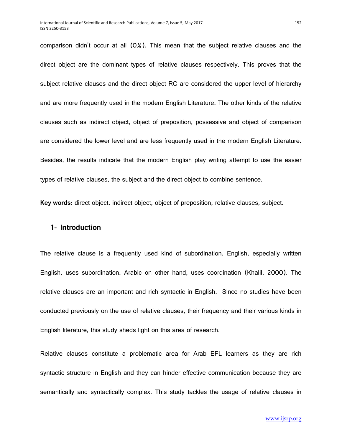comparison didn't occur at all (0%). This mean that the subject relative clauses and the direct object are the dominant types of relative clauses respectively. This proves that the subject relative clauses and the direct object RC are considered the upper level of hierarchy and are more frequently used in the modern English Literature. The other kinds of the relative clauses such as indirect object, object of preposition, possessive and object of comparison are considered the lower level and are less frequently used in the modern English Literature. Besides, the results indicate that the modern English play writing attempt to use the easier types of relative clauses, the subject and the direct object to combine sentence.

**Key words**: direct object, indirect object, object of preposition, relative clauses, subject.

### **1- Introduction**

The relative clause is a frequently used kind of subordination. English, especially written English, uses subordination. Arabic on other hand, uses coordination (Khalil, 2000). The relative clauses are an important and rich syntactic in English. Since no studies have been conducted previously on the use of relative clauses, their frequency and their various kinds in English literature, this study sheds light on this area of research.

Relative clauses constitute a problematic area for Arab EFL learners as they are rich syntactic structure in English and they can hinder effective communication because they are semantically and syntactically complex. This study tackles the usage of relative clauses in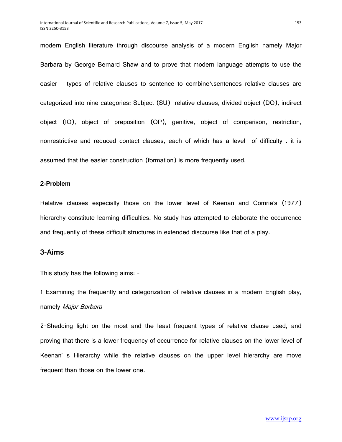modern English literature through discourse analysis of a modern English namely Major Barbara by George Bernard Shaw and to prove that modern language attempts to use the easier types of relative clauses to sentence to combine\sentences relative clauses are categorized into nine categories: Subject (SU) relative clauses, divided object (DO), indirect object (IO), object of preposition (OP), genitive, object of comparison, restriction, nonrestrictive and reduced contact clauses, each of which has a level of difficulty . it is assumed that the easier construction (formation) is more frequently used.

#### **2-Problem**

Relative clauses especially those on the lower level of Keenan and Comrie's (1977) hierarchy constitute learning difficulties. No study has attempted to elaborate the occurrence and frequently of these difficult structures in extended discourse like that of a play.

# **3-Aims**

This study has the following aims: -

1-Examining the frequently and categorization of relative clauses in a modern English play, namely Major Barbara

2-Shedding light on the most and the least frequent types of relative clause used, and proving that there is a lower frequency of occurrence for relative clauses on the lower level of Keenan' s Hierarchy while the relative clauses on the upper level hierarchy are move frequent than those on the lower one.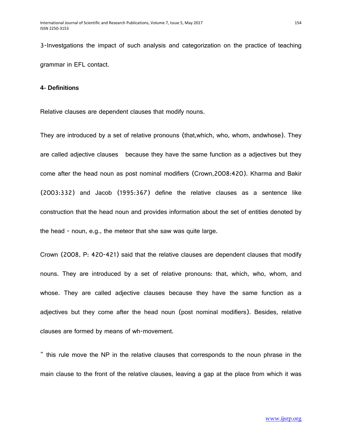3-Investgations the impact of such analysis and categorization on the practice of teaching grammar in EFL contact.

#### **4- Definitions**

Relative clauses are dependent clauses that modify nouns.

They are introduced by a set of relative pronouns (that,which, who, whom, andwhose). They are called adjective clauses because they have the same function as a adjectives but they come after the head noun as post nominal modifiers (Crown,2008:420). Kharma and Bakir (2003:332) and Jacob (1995:367) define the relative clauses as a sentence like construction that the head noun and provides information about the set of entities denoted by the head - noun, e.g., the meteor that she saw was quite large.

Crown (2008, P: 420-421) said that the relative clauses are dependent clauses that modify nouns. They are introduced by a set of relative pronouns: that, which, who, whom, and whose. They are called adjective clauses because they have the same function as a adjectives but they come after the head noun (post nominal modifiers). Besides, relative clauses are formed by means of wh-movement.

" this rule move the NP in the relative clauses that corresponds to the noun phrase in the main clause to the front of the relative clauses, leaving a gap at the place from which it was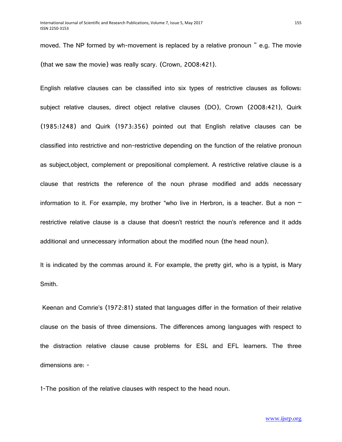moved. The NP formed by wh-movement is replaced by a relative pronoun " e.g. The movie (that we saw the movie) was really scary. (Crown, 2008:421).

English relative clauses can be classified into six types of restrictive clauses as follows: subject relative clauses, direct object relative clauses (DO), Crown (2008:421), Quirk (1985:1248) and Quirk (1973:356) pointed out that English relative clauses can be classified into restrictive and non-restrictive depending on the function of the relative pronoun as subject,object, complement or prepositional complement. A restrictive relative clause is a clause that restricts the reference of the noun phrase modified and adds necessary information to it. For example, my brother "who live in Herbron, is a teacher. But a non  $$ restrictive relative clause is a clause that doesn't restrict the noun's reference and it adds additional and unnecessary information about the modified noun (the head noun).

It is indicated by the commas around it. For example, the pretty girl, who is a typist, is Mary Smith.

Keenan and Comrie's (1972:81) stated that languages differ in the formation of their relative clause on the basis of three dimensions. The differences among languages with respect to the distraction relative clause cause problems for ESL and EFL learners. The three dimensions are: -

1-The position of the relative clauses with respect to the head noun.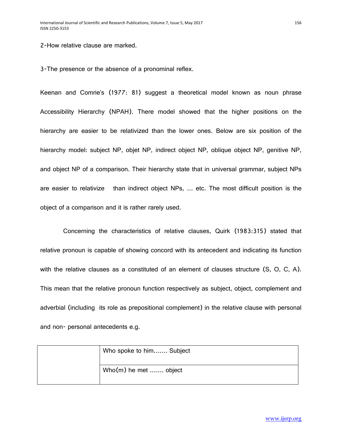2-How relative clause are marked.

3-The presence or the absence of a pronominal reflex.

Keenan and Comrie's (1977: 81) suggest a theoretical model known as noun phrase Accessibility Hierarchy (NPAH). There model showed that the higher positions on the hierarchy are easier to be relativized than the lower ones. Below are six position of the hierarchy model: subject NP, objet NP, indirect object NP, oblique object NP, genitive NP, and object NP of a comparison. Their hierarchy state that in universal grammar, subject NPs are easier to relativize than indirect object NPs, … etc. The most difficult position is the object of a comparison and it is rather rarely used.

 Concerning the characteristics of relative clauses, Quirk (1983:315) stated that relative pronoun is capable of showing concord with its antecedent and indicating its function with the relative clauses as a constituted of an element of clauses structure (S, O, C, A). This mean that the relative pronoun function respectively as subject, object, complement and adverbial (including its role as prepositional complement) in the relative clause with personal and non- personal antecedents e.g.

| Who spoke to him Subject |
|--------------------------|
| Who(m) he met  object    |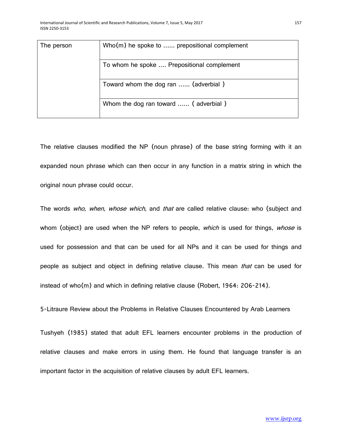| The person | $Who(m)$ he spoke to  prepositional complement |
|------------|------------------------------------------------|
|            | To whom he spoke  Prepositional complement     |
|            | Toward whom the dog ran  (adverbial)           |
|            | Whom the dog ran toward  (adverbial)           |

The relative clauses modified the NP (noun phrase) of the base string forming with it an expanded noun phrase which can then occur in any function in a matrix string in which the original noun phrase could occur.

The words who, when, whose which, and that are called relative clause: who (subject and whom (object) are used when the NP refers to people, which is used for things, whose is used for possession and that can be used for all NPs and it can be used for things and people as subject and object in defining relative clause. This mean *that* can be used for instead of who(m) and which in defining relative clause (Robert, 1964: 206-214).

5-Litraure Review about the Problems in Relative Clauses Encountered by Arab Learners

Tushyeh (1985) stated that adult EFL learners encounter problems in the production of relative clauses and make errors in using them. He found that language transfer is an important factor in the acquisition of relative clauses by adult EFL learners.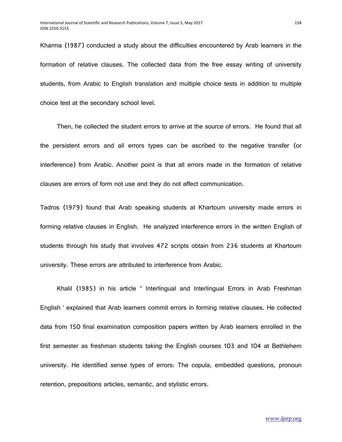Kharma (1987) conducted a study about the difficulties encountered by Arab learners in the formation of relative clauses. The collected data from the free essay writing of university students, from Arabic to English translation and multiple choice tests in addition to multiple choice test at the secondary school level.

 Then, he collected the student errors to arrive at the source of errors. He found that all the persistent errors and all errors types can be ascribed to the negative transfer (or interference) from Arabic. Another point is that all errors made in the formation of relative clauses are errors of form not use and they do not affect communication.

Tadros (1979) found that Arab speaking students at Khartoum university made errors in forming relative clauses in English. He analyzed interference errors in the written English of students through his study that involves 472 scripts obtain from 236 students at Khartoum university. These errors are attributed to interference from Arabic.

 Khalil (1985) in his article " Interlingual and Interlingual Errors in Arab Freshman English ' explained that Arab learners commit errors in forming relative clauses. He collected data from 150 final examination composition papers written by Arab learners enrolled in the first semester as freshman students taking the English courses 103 and 104 at Bethlehem university. He identified sense types of errors: The copula, embedded questions, pronoun retention, prepositions articles, semantic, and stylistic errors.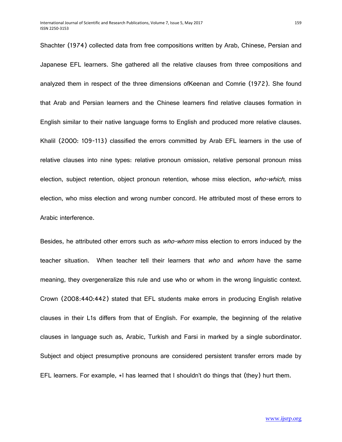Shachter (1974) collected data from free compositions written by Arab, Chinese, Persian and Japanese EFL learners. She gathered all the relative clauses from three compositions and analyzed them in respect of the three dimensions ofKeenan and Comrie (1972). She found that Arab and Persian learners and the Chinese learners find relative clauses formation in English similar to their native language forms to English and produced more relative clauses. Khalil (2000: 109-113) classified the errors committed by Arab EFL learners in the use of relative clauses into nine types: relative pronoun omission, relative personal pronoun miss election, subject retention, object pronoun retention, whose miss election, who-which, miss election, who miss election and wrong number concord. He attributed most of these errors to Arabic interference.

Besides, he attributed other errors such as *who-whom* miss election to errors induced by the teacher situation. When teacher tell their learners that *who* and *whom* have the same meaning, they overgeneralize this rule and use who or whom in the wrong linguistic context. Crown (2008:440:442) stated that EFL students make errors in producing English relative clauses in their L1s differs from that of English. For example, the beginning of the relative clauses in language such as, Arabic, Turkish and Farsi in marked by a single subordinator. Subject and object presumptive pronouns are considered persistent transfer errors made by EFL learners. For example, \*l has learned that I shouldn't do things that (they) hurt them.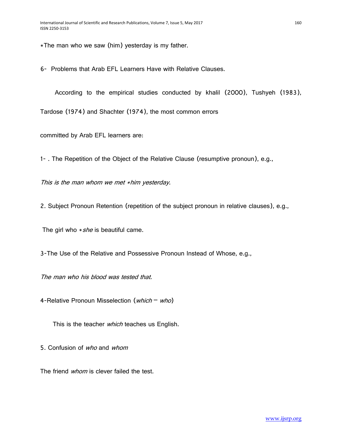\*The man who we saw (him) yesterday is my father.

6- Problems that Arab EFL Learners Have with Relative Clauses.

According to the empirical studies conducted by khalil (2000), Tushyeh (1983),

Tardose (1974) and Shachter (1974), the most common errors

committed by Arab EFL learners are:

1- . The Repetition of the Object of the Relative Clause (resumptive pronoun), e.g.,

This is the man whom we met \*him yesterday.

2. Subject Pronoun Retention (repetition of the subject pronoun in relative clauses), e.g.,

The girl who  $*$ *she* is beautiful came.

3-The Use of the Relative and Possessive Pronoun Instead of Whose, e.g.,

The man who his blood was tested that.

4-Relative Pronoun Misselection (which – who)

This is the teacher which teaches us English.

5. Confusion of who and whom

The friend whom is clever failed the test.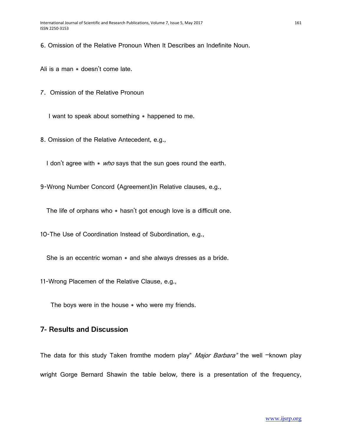6. Omission of the Relative Pronoun When It Describes an Indefinite Noun.

Ali is a man \* doesn't come late.

7. Omission of the Relative Pronoun

I want to speak about something  $*$  happened to me.

8. Omission of the Relative Antecedent, e.g.,

I don't agree with  $*$  who says that the sun goes round the earth.

9-Wrong Number Concord (Agreement)in Relative clauses, e.g.,

The life of orphans who  $*$  hasn't got enough love is a difficult one.

10-The Use of Coordination Instead of Subordination, e.g.,

She is an eccentric woman  $*$  and she always dresses as a bride.

11-Wrong Placemen of the Relative Clause, e.g.,

The boys were in the house  $*$  who were my friends.

# **7- Results and Discussion**

The data for this study Taken from the modern play" Major Barbara" the well  $\neg$ known play wright Gorge Bernard Shawin the table below, there is a presentation of the frequency,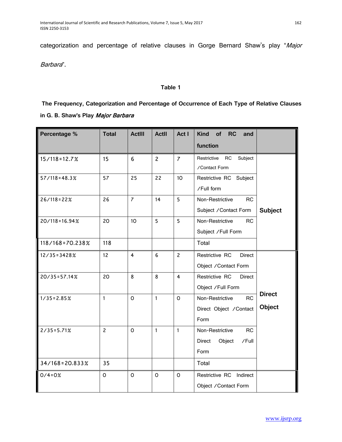categorization and percentage of relative clauses in Gorge Bernard Shaw's play "Major

Barbara".

#### **Table 1**

**The Frequency, Categorization and Percentage of Occurrence of Each Type of Relative Clauses in G. B. Shaw's Play** Major Barbara

| Percentage %       | <b>Total</b>   | <b>ActIII</b>  | <b>ActII</b>     | Act I          | <b>Kind</b><br>of<br><b>RC</b><br>and<br>function                 |                                |
|--------------------|----------------|----------------|------------------|----------------|-------------------------------------------------------------------|--------------------------------|
| $15/118 = 12.7%$   | 15             | 6              | $\overline{c}$   | $\overline{7}$ | Subject<br>Restrictive<br><b>RC</b><br>/Contact Form              |                                |
| $57/118 = 48.3%$   | 57             | 25             | 22               | 10             | Restrictive RC<br>Subject<br>/Full form                           |                                |
| $26/118 = 22%$     | 26             | $\overline{7}$ | 14               | 5              | Non-Restrictive<br><b>RC</b><br>Subject / Contact Form            | <b>Subject</b>                 |
| $20/118 = 16.94%$  | 20             | 10             | 5                | 5              | Non-Restrictive<br>RC<br>Subject / Full Form                      |                                |
| 118/168=70.238%    | 118            |                |                  |                | Total                                                             |                                |
| $12/35 = 3428%$    | 12             | $\overline{4}$ | $\boldsymbol{6}$ | $\overline{c}$ | Restrictive RC<br><b>Direct</b><br>Object / Contact Form          |                                |
| $20/35 = 57.14%$   | 20             | 8              | 8                | $\overline{4}$ | Restrictive RC<br><b>Direct</b><br>Object /Full Form              |                                |
| $1/35 = 2.85%$     | $\mathbf{1}$   | $\mathsf{o}$   | $\mathbf{1}$     | $\Omega$       | <b>RC</b><br>Non-Restrictive<br>Direct Object / Contact<br>Form   | <b>Direct</b><br><b>Object</b> |
| $2/35 = 5.71%$     | $\overline{c}$ | $\circ$        | $\mathbf{1}$     | $\mathbf{1}$   | Non-Restrictive<br><b>RC</b><br>Object<br>Direct<br>/Full<br>Form |                                |
| $34/168 = 20.833%$ | 35             |                |                  |                | Total                                                             |                                |
| $0/4 = 0%$         | 0              | $\mathsf O$    | $\circ$          | $\mathsf{o}$   | Restrictive RC Indirect<br>Object / Contact Form                  |                                |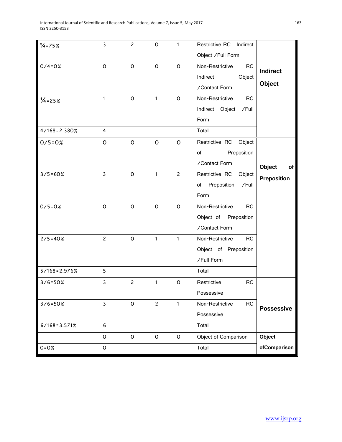| $\frac{3}{4}$ = 75% | $\mathbf{3}$     | $\mathbf{2}$        | $\circ$        | $\mathbf{1}$   | Restrictive RC Indirect<br>Object / Full Form                                    |                    |
|---------------------|------------------|---------------------|----------------|----------------|----------------------------------------------------------------------------------|--------------------|
| $0/4 = 0%$          | $\mathsf O$      | $\mathsf O$         | O              | 0              | Non-Restrictive<br><b>RC</b><br>Indirect<br>Object<br>/Contact Form              | Indirect<br>Object |
| $\frac{1}{4}$ = 25% | $\mathbf{1}$     | $\mathsf O$         | $\mathbf{1}$   | 0              | Non-Restrictive<br>RC<br>Indirect Object /Full<br>Form                           |                    |
| $4/168 = 2.380%$    | 4                |                     |                |                | Total                                                                            |                    |
| $0/5 = 0%$          | $\mathsf{O}$     | $\mathsf{O}$        | $\mathsf{O}$   | $\mathsf{O}$   | Restrictive RC Object<br>Preposition<br>$of$ and $\overline{a}$<br>/Contact Form | Object<br>of       |
| $3/5 = 60%$         | $\mathbf{3}$     | $\mathsf{O}$        | $\mathbf{1}$   | $\overline{c}$ | Restrictive RC Object<br>of Preposition<br>/Full<br>Form                         | <b>Preposition</b> |
| $0/5 = 0%$          | $\mathsf O$      | $\mathsf O$         | $\circ$        | 0              | Non-Restrictive<br><b>RC</b><br>Object of Preposition<br>/Contact Form           |                    |
| $2/5 = 40%$         | $\overline{c}$   | $\mathsf{O}\xspace$ | $\mathbf{1}$   | $\mathbf{1}$   | Non-Restrictive<br><b>RC</b><br>Object of Preposition<br>/Full Form              |                    |
| $5/168 = 2.976%$    | 5                |                     |                |                | Total                                                                            |                    |
| $3/6 = 50%$         | 3                | $\overline{c}$      | $\mathbf{1}$   | O              | Restrictive<br><b>RC</b><br>Possessive                                           |                    |
| $3/6 = 50%$         | $\mathbf{3}$     | $\mathsf{O}\xspace$ | $\overline{c}$ | $\mathbf{1}$   | <b>RC</b><br>Non-Restrictive<br>Possessive                                       | <b>Possessive</b>  |
| $6/168 = 3.571%$    | $\boldsymbol{6}$ |                     |                |                | Total                                                                            |                    |
|                     | $\mathsf O$      | O                   | $\mathsf O$    | $\circ$        | Object of Comparison                                                             | Object             |
| $0 = 0%$            | $\mathsf O$      |                     |                |                | Total                                                                            | ofComparison       |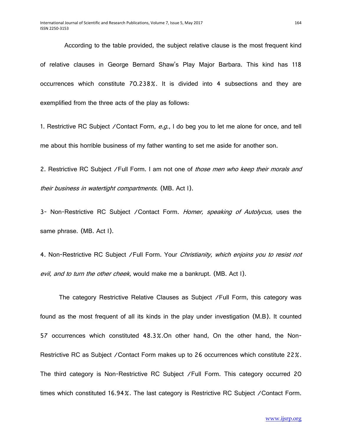According to the table provided, the subject relative clause is the most frequent kind of relative clauses in George Bernard Shaw's Play Major Barbara. This kind has 118 occurrences which constitute 70.238%. It is divided into 4 subsections and they are exemplified from the three acts of the play as follows:

1. Restrictive RC Subject / Contact Form, e.g., I do beg you to let me alone for once, and tell me about this horrible business of my father wanting to set me aside for another son.

2. Restrictive RC Subject /Full Form. I am not one of those men who keep their morals and their business in watertight compartments. (MB. Act I).

3- Non-Restrictive RC Subject / Contact Form. Homer, speaking of Autolycus, uses the same phrase. (MB. Act I).

4. Non-Restrictive RC Subject / Full Form. Your Christianity, which enjoins you to resist not evil, and to turn the other cheek, would make me a bankrupt. (MB. Act I).

 The category Restrictive Relative Clauses as Subject /Full Form, this category was found as the most frequent of all its kinds in the play under investigation (M.B). It counted 57 occurrences which constituted 48.3%.On other hand, On the other hand, the Non-Restrictive RC as Subject /Contact Form makes up to 26 occurrences which constitute 22%. The third category is Non-Restrictive RC Subject /Full Form. This category occurred 20 times which constituted 16.94%. The last category is Restrictive RC Subject /Contact Form.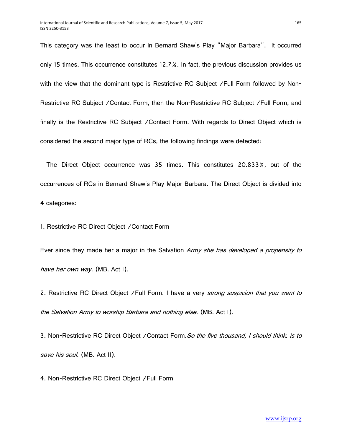This category was the least to occur in Bernard Shaw's Play "Major Barbara". It occurred only 15 times. This occurrence constitutes 12.7%. In fact, the previous discussion provides us with the view that the dominant type is Restrictive RC Subject /Full Form followed by Non-Restrictive RC Subject /Contact Form, then the Non-Restrictive RC Subject /Full Form, and finally is the Restrictive RC Subject /Contact Form. With regards to Direct Object which is considered the second major type of RCs, the following findings were detected:

 The Direct Object occurrence was 35 times. This constitutes 20.833%, out of the occurrences of RCs in Bernard Shaw's Play Major Barbara. The Direct Object is divided into 4 categories:

1. Restrictive RC Direct Object /Contact Form

Ever since they made her a major in the Salvation Army she has developed a propensity to have her own way. (MB. Act I).

2. Restrictive RC Direct Object /Full Form. I have a very *strong suspicion that you went to* the Salvation Army to worship Barbara and nothing else. (MB. Act I).

3. Non-Restrictive RC Direct Object / Contact Form. So the five thousand, I should think. is to save his soul. (MB. Act II).

4. Non-Restrictive RC Direct Object /Full Form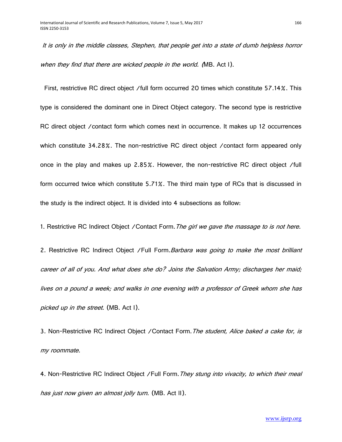It is only in the middle classes, Stephen, that people get into a state of dumb helpless horror when they find that there are wicked people in the world. (MB. Act I).

 First, restrictive RC direct object /full form occurred 20 times which constitute 57.14%. This type is considered the dominant one in Direct Object category. The second type is restrictive RC direct object /contact form which comes next in occurrence. It makes up 12 occurrences which constitute 34.28%. The non-restrictive RC direct object / contact form appeared only once in the play and makes up 2.85%. However, the non-restrictive RC direct object /full form occurred twice which constitute 5.71%. The third main type of RCs that is discussed in the study is the indirect object. It is divided into 4 subsections as follow:

1. Restrictive RC Indirect Object / Contact Form. The girl we gave the massage to is not here.

2. Restrictive RC Indirect Object / Full Form. Barbara was going to make the most brilliant career of all of you. And what does she do? Joins the Salvation Army; discharges her maid; lives on a pound a week; and walks in one evening with a professor of Greek whom she has picked up in the street. (MB. Act I).

3. Non-Restrictive RC Indirect Object / Contact Form. The student, Alice baked a cake for, is my roommate.

4. Non-Restrictive RC Indirect Object / Full Form. They stung into vivacity, to which their meal has just now given an almost jolly turn. (MB. Act II).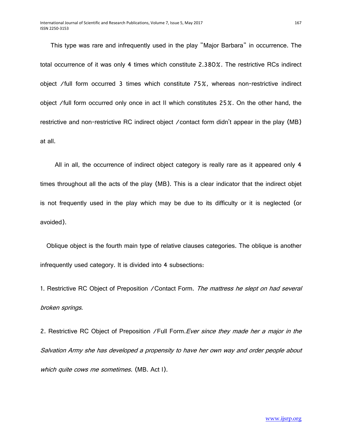This type was rare and infrequently used in the play "Major Barbara" in occurrence. The total occurrence of it was only 4 times which constitute 2.380%. The restrictive RCs indirect object /full form occurred 3 times which constitute 75%, whereas non-restrictive indirect object /full form occurred only once in act II which constitutes 25%. On the other hand, the restrictive and non-restrictive RC indirect object /contact form didn't appear in the play (MB) at all.

 All in all, the occurrence of indirect object category is really rare as it appeared only 4 times throughout all the acts of the play (MB). This is a clear indicator that the indirect objet is not frequently used in the play which may be due to its difficulty or it is neglected (or avoided).

 Oblique object is the fourth main type of relative clauses categories. The oblique is another infrequently used category. It is divided into 4 subsections:

1. Restrictive RC Object of Preposition / Contact Form. The mattress he slept on had several broken springs.

2. Restrictive RC Object of Preposition / Full Form. Ever since they made her a major in the Salvation Army she has developed a propensity to have her own way and order people about which quite cows me sometimes. (MB. Act I).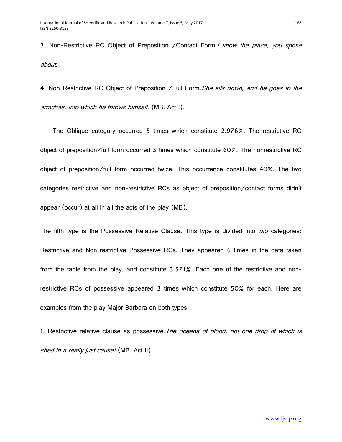3. Non-Restrictive RC Object of Preposition / Contact Form./ know the place, you spoke about.

4. Non-Restrictive RC Object of Preposition / Full Form. She sits down; and he goes to the armchair, into which he throws himself. (MB. Act I).

 The Oblique category occurred 5 times which constitute 2.976%. The restrictive RC object of preposition/full form occurred 3 times which constitute 60%. The nonrestrictive RC object of preposition/full form occurred twice. This occurrence constitutes 40%. The two categories restrictive and non-restrictive RCs as object of preposition/contact forms didn't appear (occur) at all in all the acts of the play (MB).

The fifth type is the Possessive Relative Clause. This type is divided into two categories: Restrictive and Non-restrictive Possessive RCs. They appeared 6 times in the data taken from the table from the play, and constitute 3.571%. Each one of the restrictive and nonrestrictive RCs of possessive appeared 3 times which constitute 50% for each. Here are examples from the play Major Barbara on both types:

1. Restrictive relative clause as possessive. The oceans of blood, not one drop of which is shed in a really just cause! (MB. Act II).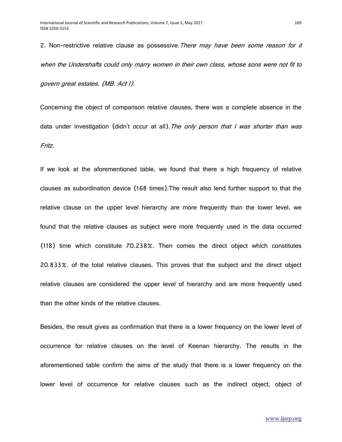2. Non-restrictive relative clause as possessive. There may have been some reason for it when the Undershafts could only marry women in their own class, whose sons were not fit to govern great estates. (MB. Act I).

Concerning the object of comparison relative clauses, there was a complete absence in the data under investigation (didn't occur at all). The only person that I was shorter than was Fritz.

If we look at the aforementioned table, we found that there a high frequency of relative clauses as subordination device (168 times).The result also lend further support to that the relative clause on the upper level hierarchy are more frequently than the lower level. we found that the relative clauses as subject were more frequently used in the data occurred (118) time which constitute 70.238%. Then comes the direct object which constitutes 20.833%. of the total relative clauses. This proves that the subject and the direct object relative clauses are considered the upper level of hierarchy and are more frequently used than the other kinds of the relative clauses.

Besides, the result gives as confirmation that there is a lower frequency on the lower level of occurrence for relative clauses on the level of Keenan hierarchy. The results in the aforementioned table confirm the aims of the study that there is a lower frequency on the lower level of occurrence for relative clauses such as the indirect object, object of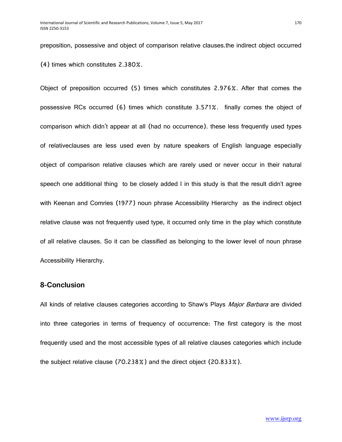preposition, possessive and object of comparison relative clauses.the indirect object occurred (4) times which constitutes 2.380%.

Object of preposition occurred (5) times which constitutes 2.976%. After that comes the possessive RCs occurred (6) times which constitute 3.571%. finally comes the object of comparison which didn't appear at all (had no occurrence). these less frequently used types of relativeclauses are less used even by nature speakers of English language especially object of comparison relative clauses which are rarely used or never occur in their natural speech one additional thing to be closely added I in this study is that the result didn't agree with Keenan and Comries (1977) noun phrase Accessibility Hierarchy as the indirect object relative clause was not frequently used type, it occurred only time in the play which constitute of all relative clauses. So it can be classified as belonging to the lower level of noun phrase Accessibility Hierarchy.

# **8-Conclusion**

All kinds of relative clauses categories according to Shaw's Plays *Major Barbara* are divided into three categories in terms of frequency of occurrence: The first category is the most frequently used and the most accessible types of all relative clauses categories which include the subject relative clause (70.238%) and the direct object (20.833%).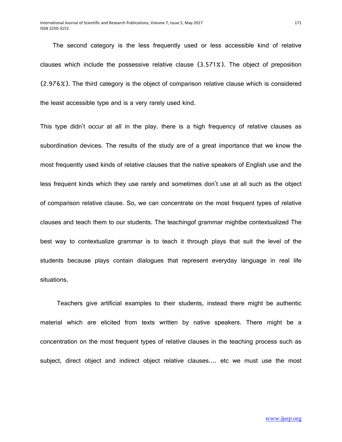The second category is the less frequently used or less accessible kind of relative clauses which include the possessive relative clause (3.571%). The object of preposition (2.976%). The third category is the object of comparison relative clause which is considered the least accessible type and is a very rarely used kind.

This type didn't occur at all in the play. there is a high frequency of relative clauses as subordination devices. The results of the study are of a great importance that we know the most frequently used kinds of relative clauses that the native speakers of English use and the less frequent kinds which they use rarely and sometimes don't use at all such as the object of comparison relative clause. So, we can concentrate on the most frequent types of relative clauses and teach them to our students. The teachingof grammar mightbe contextualized The best way to contextualize grammar is to teach it through plays that suit the level of the students because plays contain dialogues that represent everyday language in real life situations.

 Teachers give artificial examples to their students, instead there might be authentic material which are elicited from texts written by native speakers. There might be a concentration on the most frequent types of relative clauses in the teaching process such as subject, direct object and indirect object relative clauses…. etc we must use the most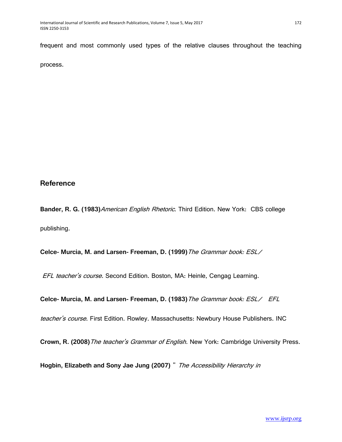frequent and most commonly used types of the relative clauses throughout the teaching

process.

# **Reference**

**Bander, R. G. (1983)**American English Rhetoric. Third Edition. New York: CBS college publishing.

**Celce- Murcia, M. and Larsen- Freeman, D. (1999)**The Grammar book: ESL/

EFL teacher's course. Second Edition. Boston, MA: Heinle, Cengag Learning.

**Celce- Murcia, M. and Larsen- Freeman, D. (1983)**The Grammar book: ESL/ EFL

teacher's course. First Edition. Rowley. Massachusetts: Newbury House Publishers. INC

**Crown, R. (2008)**The teacher's Grammar of English. New York: Cambridge University Press.

**Hogbin, Elizabeth and Sony Jae Jung (2007)** " The Accessibility Hierarchy in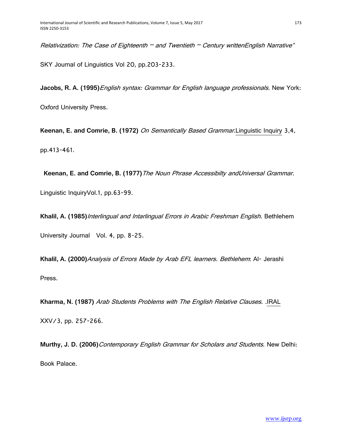Relativization: The Case of Eighteenth  $-$  and Twentieth  $-$  Century writtenEnglish Narrative" SKY Journal of Linguistics Vol 20, pp.203-233.

**Jacobs, R. A. (1995)**English syntax: Grammar for English language professionals. New York:

Oxford University Press.

**Keenan, E. and Comrie, B. (1972)** On Semantically Based Grammar.Linguistic Inquiry 3,4, pp.413-461.

 **Keenan, E. and Comrie, B. (1977)**The Noun Phrase Accessibilty andUniversal Grammar. Linguistic InquiryVol.1, pp.63-99.

**Khalil, A. (1985)**Interlingual and Intarlingual Errors in Arabic Freshman English. Bethlehem University Journal Vol. 4, pp. 8-25.

**Khalil, A. (2000)**Analysis of Errors Made by Arab EFL learners. Bethlehem: Al- Jerashi Press.

**Kharma, N. (1987)** Arab Students Problems with The English Relative Clauses. .IRAL XXV/3, pp. 257-266.

**Murthy, J. D. (2006)**Contemporary English Grammar for Scholars and Students. New Delhi: Book Palace.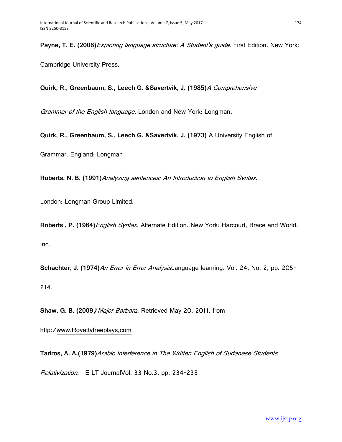**Payne, T. E. (2006)**Exploring language structure: A Student's guide. First Edition. New York:

Cambridge University Press.

**Quirk, R., Greenbaum, S., Leech G. &Savertvik, J. (1985)**A Comprehensive

Grammar of the English language. London and New York: Longman.

**Quirk, R., Greenbaum, S., Leech G. &Savertvik, J. (1973)** A University English of

Grammar. England: Longman

**Roberts, N. B. (1991)**Analyzing sentences: An Introduction to English Syntax.

London: Longman Group Limited.

**Roberts , P. (1964)**English Syntax. Alternate Edition. New York: Harcourt, Brace and World. Inc.

**Schachter, J. (1974)**An Error in Error AnalysisLanguage learning. Vol. 24, No, 2, pp. 205- 214.

**Shaw. G. B. (2009**) Major Barbara. Retrieved May 20, 2011, from

http:/www.Royattyfreeplays,com

**Tadros, A. A.(1979)**Arabic Interference in The Written English of Sudanese Students

Relativization. E LT JournalVol. 33 No.3, pp. 234-238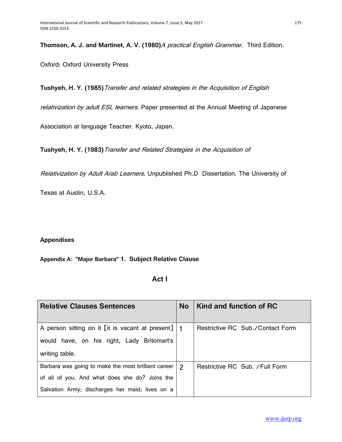**Thomson, A. J. and Martinet, A. V. (1980)**A practical English Grammar. Third Edition.

Oxford: Oxford University Press

**Tushyeh, H. Y. (1985)**Transfer and related strategies in the Acquisition of English

relativization by adult ESL learners. Paper presented at the Annual Meeting of Japanese

Association at language Teacher. Kyoto, Japan.

**Tushyeh, H. Y. (1983)**Transfer and Related Strategies in the Acquisition of

Relativization by Adult Arab Learners. Unpublished Ph.D Dissertation. The University of

Texas at Austin, U.S.A.

# **Appendixes**

# **Appendix A: "Major Barbara" 1. Subject Relative Clause**

# *Act I*

| <b>Relative Clauses Sentences</b>                    |                | Kind and function of RC          |
|------------------------------------------------------|----------------|----------------------------------|
|                                                      |                |                                  |
| A person sitting on it [it is vacant at present]   1 |                | Restrictive RC Sub./Contact Form |
| would have, on his right, Lady Britomart's           |                |                                  |
| writing table.                                       |                |                                  |
| Barbara was going to make the most brilliant career  | $\overline{c}$ | Restrictive RC Sub. / Full Form  |
| of all of you. And what does she do? Joins the       |                |                                  |
| Salvation Army; discharges her maid; lives on a      |                |                                  |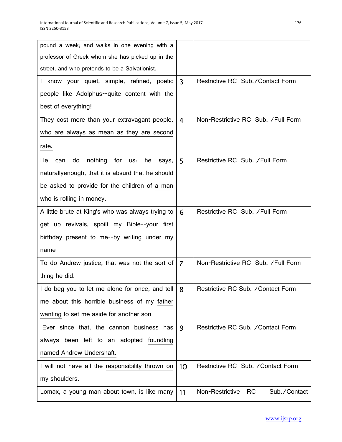| pound a week; and walks in one evening with a           |                         |                                              |
|---------------------------------------------------------|-------------------------|----------------------------------------------|
| professor of Greek whom she has picked up in the        |                         |                                              |
| street, and who pretends to be a Salvationist.          |                         |                                              |
| I know your quiet, simple, refined, poetic              | $\overline{3}$          | Restrictive RC Sub./Contact Form             |
| people like Adolphus--quite content with the            |                         |                                              |
| best of everything!                                     |                         |                                              |
| They cost more than your extravagant people,            | $\overline{\mathbf{4}}$ | Non-Restrictive RC Sub. / Full Form          |
| who are always as mean as they are second               |                         |                                              |
| rate.                                                   |                         |                                              |
| nothing<br>for<br>He<br>do<br>can<br>us:<br>he<br>says, | 5                       | Restrictive RC Sub. / Full Form              |
| naturallyenough, that it is absurd that he should       |                         |                                              |
| be asked to provide for the children of a man           |                         |                                              |
| who is rolling in money.                                |                         |                                              |
| A little brute at King's who was always trying to       | 6                       | Restrictive RC Sub. / Full Form              |
| get up revivals, spoilt my Bible--your first            |                         |                                              |
| birthday present to me--by writing under my             |                         |                                              |
| name                                                    |                         |                                              |
| To do Andrew justice, that was not the sort of          | $\overline{7}$          | Non-Restrictive RC Sub. /Full Form           |
| thing he did.                                           |                         |                                              |
| I do beg you to let me alone for once, and tell         | 8                       | Restrictive RC Sub. / Contact Form           |
| me about this horrible business of my father            |                         |                                              |
| wanting to set me aside for another son                 |                         |                                              |
| Ever since that, the cannon business has                | 9                       | Restrictive RC Sub. / Contact Form           |
| always been left to an adopted foundling                |                         |                                              |
| named Andrew Undershaft.                                |                         |                                              |
| I will not have all the responsibility thrown on        | 10                      | Restrictive RC Sub. / Contact Form           |
| my shoulders.                                           |                         |                                              |
| Lomax, a young man about town, is like many             | 11                      | Non-Restrictive<br><b>RC</b><br>Sub./Contact |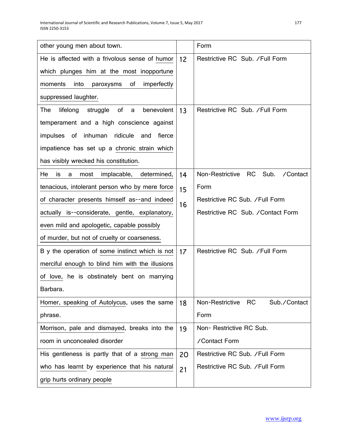| other young men about town.                          |    | Form                                             |
|------------------------------------------------------|----|--------------------------------------------------|
| He is affected with a frivolous sense of humor       |    | Restrictive RC Sub. / Full Form                  |
| which plunges him at the most inopportune            |    |                                                  |
| of<br>imperfectly<br>into<br>moments<br>paroxysms    |    |                                                  |
| suppressed laughter.                                 |    |                                                  |
| of<br>The<br>lifelong<br>struggle<br>benevolent<br>a | 13 | Restrictive RC Sub. / Full Form                  |
| temperament and a high conscience against            |    |                                                  |
| of inhuman<br>ridicule<br>impulses<br>and<br>fierce  |    |                                                  |
| impatience has set up a chronic strain which         |    |                                                  |
| has visibly wrecked his constitution.                |    |                                                  |
| He<br>implacable,<br>determined,<br>is<br>most<br>a  | 14 | Non-Restrictive<br><b>RC</b><br>Sub.<br>/Contact |
| tenacious, intolerant person who by mere force       | 15 | Form                                             |
| of character presents himself as--and indeed         |    | Restrictive RC Sub. / Full Form                  |
| actually is--considerate, gentle, explanatory,       |    | Restrictive RC Sub. / Contact Form               |
| even mild and apologetic, capable possibly           |    |                                                  |
| of murder, but not of cruelty or coarseness.         |    |                                                  |
| B y the operation of some instinct which is not      |    | Restrictive RC Sub. / Full Form                  |
| merciful enough to blind him with the illusions      |    |                                                  |
| of love, he is obstinately bent on marrying          |    |                                                  |
| Barbara.                                             |    |                                                  |
| Homer, speaking of Autolycus, uses the same          | 18 | Non-Restrictive<br><b>RC</b><br>Sub./Contact     |
| phrase.                                              |    | Form                                             |
| Morrison, pale and dismayed, breaks into the         | 19 | Non-Restrictive RC Sub.                          |
| room in unconcealed disorder                         |    | /Contact Form                                    |
| His gentleness is partly that of a strong man        |    | Restrictive RC Sub. / Full Form                  |
| who has learnt by experience that his natural        |    | Restrictive RC Sub. / Full Form                  |
| grip hurts ordinary people                           |    |                                                  |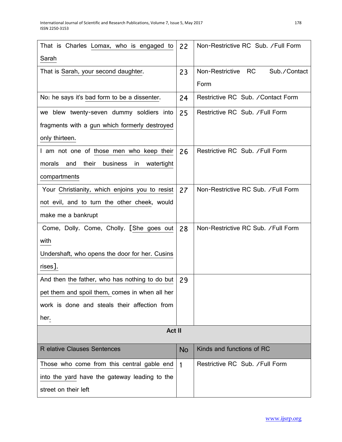| That is Charles Lomax, who is engaged to               | 22           | Non-Restrictive RC Sub. / Full Form |
|--------------------------------------------------------|--------------|-------------------------------------|
| Sarah                                                  |              |                                     |
| That is Sarah, your second daughter.                   | 23           | Non-Restrictive RC<br>Sub./Contact  |
|                                                        |              | Form                                |
| No: he says it's bad form to be a dissenter.           | 24           | Restrictive RC Sub. / Contact Form  |
| we blew twenty-seven dummy soldiers into               | 25           | Restrictive RC Sub. /Full Form      |
| fragments with a gun which formerly destroyed          |              |                                     |
| only thirteen.                                         |              |                                     |
| I am not one of those men who keep their               | 26           | Restrictive RC Sub. / Full Form     |
| morals<br>their<br>business<br>watertight<br>and<br>in |              |                                     |
| compartments                                           |              |                                     |
| Your Christianity, which enjoins you to resist         | 27           | Non-Restrictive RC Sub. / Full Form |
| not evil, and to turn the other cheek, would           |              |                                     |
| make me a bankrupt                                     |              |                                     |
| Come, Dolly. Come, Cholly. [She goes out               | 28           | Non-Restrictive RC Sub. / Full Form |
| with                                                   |              |                                     |
| Undershaft, who opens the door for her. Cusins         |              |                                     |
| rises].                                                |              |                                     |
| And then the father, who has nothing to do but         | 29           |                                     |
| pet them and spoil them, comes in when all her         |              |                                     |
| work is done and steals their affection from           |              |                                     |
| her.                                                   |              |                                     |
| Act II                                                 |              |                                     |
| <b>R</b> elative Clauses Sentences                     | No           | Kinds and functions of RC           |
| Those who come from this central gable end             | $\mathbf{1}$ | Restrictive RC Sub. / Full Form     |
| into the yard have the gateway leading to the          |              |                                     |
| street on their left                                   |              |                                     |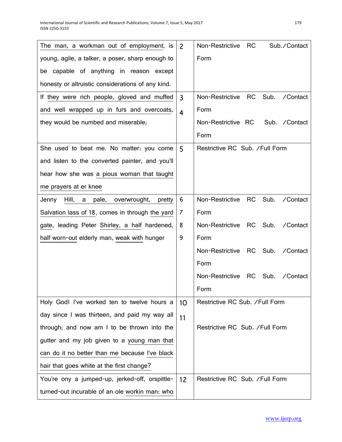| The man, a workman out of employment, is               | $\overline{2}$ | Non-Restrictive<br><b>RC</b><br>Sub./Contact     |
|--------------------------------------------------------|----------------|--------------------------------------------------|
| young, agile, a talker, a poser, sharp enough to       |                | Form                                             |
| be capable of anything in reason except                |                |                                                  |
| honesty or altruistic considerations of any kind.      |                |                                                  |
| If they were rich people, gloved and muffed            | $\overline{3}$ | Non-Restrictive RC<br>Sub.<br>/Contact           |
| and well wrapped up in furs and overcoats,             | $\overline{4}$ | Form                                             |
| they would be numbed and miserable;                    |                | Non-Restrictive RC<br>Sub. / Contact             |
|                                                        |                | Form                                             |
| She used to beat me. No matter: you come               | 5              | Restrictive RC Sub. / Full Form                  |
| and listen to the converted painter, and you'll        |                |                                                  |
| hear how she was a pious woman that taught             |                |                                                  |
| me prayers at er knee                                  |                |                                                  |
| Hill,<br>pale,<br>Jenny<br>overwrought,<br>a<br>pretty | 6              | Non-Restrictive RC<br>Sub.<br>/Contact           |
| Salvation lass of 18, comes in through the yard        | 7              | Form                                             |
| gate, leading Peter Shirley, a half hardened,          | 8              | Non-Restrictive RC<br>Sub.<br>/Contact           |
| half worn-out elderly man, weak with hunger            | 9              | Form                                             |
|                                                        |                | Non-Restrictive RC<br>Sub.<br>/Contact           |
|                                                        |                | Form                                             |
|                                                        |                | Non-Restrictive<br><b>RC</b><br>Sub.<br>/Contact |
|                                                        |                | Form                                             |
| Holy God! I've worked ten to twelve hours a            | 10             | Restrictive RC Sub. / Full Form                  |
| day since I was thirteen, and paid my way all          | 11             |                                                  |
| through; and now am I to be thrown into the            |                | Restrictive RC Sub. / Full Form                  |
| gutter and my job given to a young man that            |                |                                                  |
| can do it no better than me because I've black         |                |                                                  |
| hair that goes white at the first change?              |                |                                                  |
| You're ony a jumped-up, jerked-off, orspittle-         | 12             | Restrictive RC Sub. / Full Form                  |
| turned-out incurable of an ole workin man: who         |                |                                                  |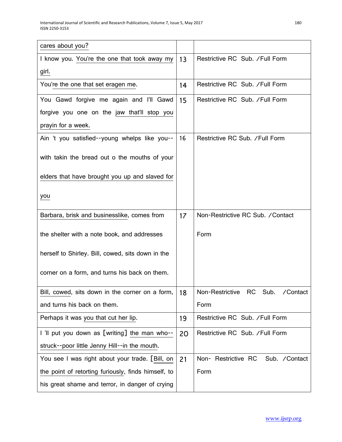| cares about you?                                    |    |                                       |
|-----------------------------------------------------|----|---------------------------------------|
| I know you. You're the one that took away my        | 13 | Restrictive RC Sub. /Full Form        |
| girl.                                               |    |                                       |
| You're the one that set eragen me.                  | 14 | Restrictive RC Sub. / Full Form       |
| You Gawd forgive me again and I'll Gawd             | 15 | Restrictive RC Sub. / Full Form       |
| forgive you one on the jaw that'll stop you         |    |                                       |
| prayin for a week.                                  |    |                                       |
| Ain 't you satisfied--young whelps like you--       | 16 | Restrictive RC Sub. / Full Form       |
| with takin the bread out o the mouths of your       |    |                                       |
| elders that have brought you up and slaved for      |    |                                       |
| you                                                 |    |                                       |
| Barbara, brisk and businesslike, comes from         | 17 | Non-Restrictive RC Sub. / Contact     |
| the shelter with a note book, and addresses         |    | Form                                  |
| herself to Shirley. Bill, cowed, sits down in the   |    |                                       |
| corner on a form, and turns his back on them.       |    |                                       |
| Bill, cowed, sits down in the corner on a form,     | 18 | Non-Restrictive RC Sub.<br>/Contact   |
| and turns his back on them.                         |    | Form                                  |
| Perhaps it was you that cut her lip.                | 19 | Restrictive RC Sub. / Full Form       |
| I 'Il put you down as [writing] the man who--       |    | Restrictive RC Sub. / Full Form       |
| struck--poor little Jenny Hill--in the mouth.       |    |                                       |
| You see I was right about your trade. [Bill, on     | 21 | Non- Restrictive RC<br>Sub. / Contact |
| the point of retorting furiously, finds himself, to |    | Form                                  |
| his great shame and terror, in danger of crying     |    |                                       |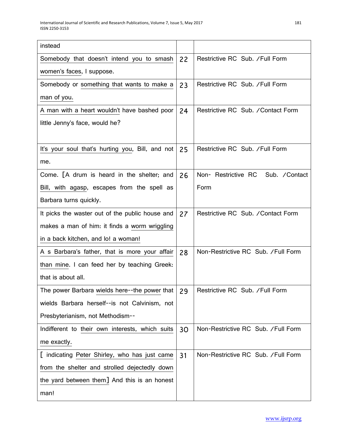| instead                                          |    |                                       |
|--------------------------------------------------|----|---------------------------------------|
| Somebody that doesn't intend you to smash        | 22 | Restrictive RC Sub. / Full Form       |
| women's faces, I suppose.                        |    |                                       |
| Somebody or something that wants to make a       | 23 | Restrictive RC Sub. / Full Form       |
| man of you.                                      |    |                                       |
| A man with a heart wouldn't have bashed poor     | 24 | Restrictive RC Sub. / Contact Form    |
| little Jenny's face, would he?                   |    |                                       |
|                                                  |    |                                       |
| It's your soul that's hurting you, Bill, and not | 25 | Restrictive RC Sub. /Full Form        |
| me.                                              |    |                                       |
| Come. [A drum is heard in the shelter; and       | 26 | Non- Restrictive RC<br>Sub. / Contact |
| Bill, with agasp, escapes from the spell as      |    | Form                                  |
| Barbara turns quickly.                           |    |                                       |
| It picks the waster out of the public house and  | 27 | Restrictive RC Sub. / Contact Form    |
| makes a man of him: it finds a worm wriggling    |    |                                       |
| in a back kitchen, and lo! a woman!              |    |                                       |
| A s Barbara's father, that is more your affair   | 28 | Non-Restrictive RC Sub. / Full Form   |
| than mine. I can feed her by teaching Greek:     |    |                                       |
| that is about all.                               |    |                                       |
| The power Barbara wields here--the power that    | 29 | Restrictive RC Sub. /Full Form        |
| wields Barbara herself--is not Calvinism, not    |    |                                       |
| Presbyterianism, not Methodism--                 |    |                                       |
| Indifferent to their own interests, which suits  | 30 | Non-Restrictive RC Sub. /Full Form    |
| me exactly.                                      |    |                                       |
| [ indicating Peter Shirley, who has just came    | 31 | Non-Restrictive RC Sub. / Full Form   |
| from the shelter and strolled dejectedly down    |    |                                       |
| the yard between them] And this is an honest     |    |                                       |
| man!                                             |    |                                       |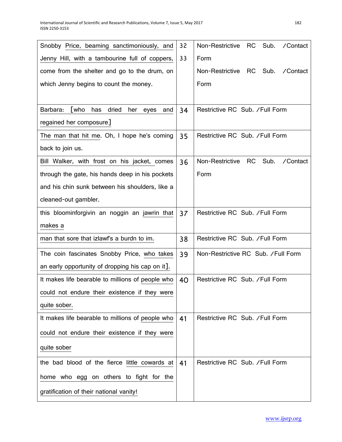| Snobby Price, beaming sanctimoniously, and                    | 32 | Sub.<br>Non-Restrictive RC<br>/Contact |
|---------------------------------------------------------------|----|----------------------------------------|
| Jenny Hill, with a tambourine full of coppers,                | 33 | Form                                   |
| come from the shelter and go to the drum, on                  |    | Non-Restrictive RC<br>Sub.<br>/Contact |
| which Jenny begins to count the money.                        |    | Form                                   |
|                                                               |    |                                        |
| <b>Twho</b><br>dried<br>Barbara:<br>has<br>her<br>eyes<br>and | 34 | Restrictive RC Sub. / Full Form        |
| regained her composure]                                       |    |                                        |
| The man that hit me. Oh, I hope he's coming                   | 35 | Restrictive RC Sub. /Full Form         |
| back to join us.                                              |    |                                        |
| Bill Walker, with frost on his jacket, comes                  | 36 | Non-Restrictive RC<br>Sub.<br>/Contact |
| through the gate, his hands deep in his pockets               |    | Form                                   |
| and his chin sunk between his shoulders, like a               |    |                                        |
| cleaned-out gambler.                                          |    |                                        |
| this bloominforgivin an noggin an jawrin that                 | 37 | Restrictive RC Sub. / Full Form        |
| makes a                                                       |    |                                        |
| man that sore that izlawf's a burdn to im.                    | 38 | Restrictive RC Sub. / Full Form        |
| The coin fascinates Snobby Price, who takes                   | 39 | Non-Restrictive RC Sub. / Full Form    |
| an early opportunity of dropping his cap on it].              |    |                                        |
| It makes life bearable to millions of people who              | 40 | Restrictive RC Sub. /Full Form         |
| could not endure their existence if they were                 |    |                                        |
| quite sober.                                                  |    |                                        |
| It makes life bearable to millions of people who              | 41 | Restrictive RC Sub. /Full Form         |
| could not endure their existence if they were                 |    |                                        |
| quite sober                                                   |    |                                        |
| the bad blood of the fierce little cowards at                 | 41 | Restrictive RC Sub. / Full Form        |
| home who egg on others to fight for the                       |    |                                        |
| gratification of their national vanity!                       |    |                                        |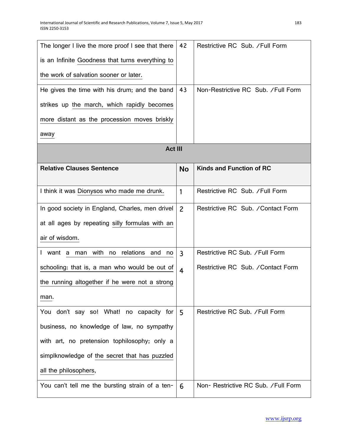| The longer I live the more proof I see that there | 42             | Restrictive RC Sub. / Full Form     |
|---------------------------------------------------|----------------|-------------------------------------|
| is an Infinite Goodness that turns everything to  |                |                                     |
| the work of salvation sooner or later.            |                |                                     |
| He gives the time with his drum; and the band     | 43             | Non-Restrictive RC Sub. / Full Form |
| strikes up the march, which rapidly becomes       |                |                                     |
| more distant as the procession moves briskly      |                |                                     |
| away                                              |                |                                     |
| <b>Act III</b>                                    |                |                                     |
| <b>Relative Clauses Sentence</b>                  | <b>No</b>      | <b>Kinds and Function of RC</b>     |
| I think it was Dionysos who made me drunk.        | 1              | Restrictive RC Sub. / Full Form     |
| In good society in England, Charles, men drivel   | $\overline{c}$ | Restrictive RC Sub. / Contact Form  |
| at all ages by repeating silly formulas with an   |                |                                     |
| air of wisdom.                                    |                |                                     |
| I want a man with no relations and<br>no          | $\mathbf{3}$   | Restrictive RC Sub. / Full Form     |
| schooling: that is, a man who would be out of     | $\overline{4}$ | Restrictive RC Sub. / Contact Form  |
| the running altogether if he were not a strong    |                |                                     |
| man.                                              |                |                                     |
| You don't say so! What! no capacity for           | 5              | Restrictive RC Sub. / Full Form     |
| business, no knowledge of law, no sympathy        |                |                                     |
| with art, no pretension tophilosophy; only a      |                |                                     |
| simplknowledge of the secret that has puzzled     |                |                                     |
| all the philosophers,                             |                |                                     |
| You can't tell me the bursting strain of a ten-   | 6              | Non-Restrictive RC Sub. / Full Form |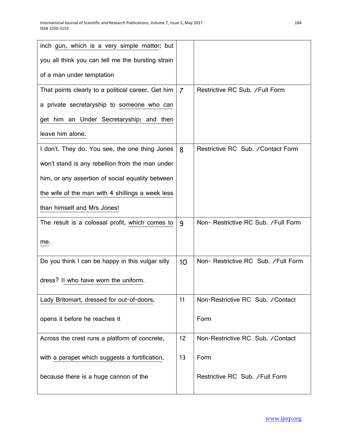| inch gun, which is a very simple matter; but       |                 |                                      |
|----------------------------------------------------|-----------------|--------------------------------------|
| you all think you can tell me the bursting strain  |                 |                                      |
| of a man under temptation                          |                 |                                      |
| That points clearly to a political career. Get him | $\overline{7}$  | Restrictive RC Sub. / Full Form      |
| a private secretaryship to someone who can         |                 |                                      |
| get him an Under Secretaryship; and then           |                 |                                      |
| leave him alone.                                   |                 |                                      |
| I don't. They do. You see, the one thing Jones     | 8               | Restrictive RC Sub. / Contact Form   |
| won't stand is any rebellion from the man under    |                 |                                      |
| him, or any assertion of social equality between   |                 |                                      |
| the wife of the man with 4 shillings a week less   |                 |                                      |
| than himself and Mrs Jones!                        |                 |                                      |
| The result is a colossal profit, which comes to    | 9               | Non- Restrictive RC Sub. / Full Form |
| me.                                                |                 |                                      |
| Do you think I can be happy in this vulgar silly   | 10 <sup>°</sup> | Non-Restrictive RC Sub. / Full Form  |
| dress? I! who have worn the uniform.               |                 |                                      |
| Lady Britomart, dressed for out-of-doors,          | 11              | Non-Restrictive RC Sub. / Contact    |
| opens it before he reaches it                      |                 | Form                                 |
| Across the crest runs a platform of concrete,      | 12              | Non-Restrictive RC Sub. / Contact    |
| with a parapet which suggests a fortification,     | 13              | Form                                 |
| because there is a huge cannon of the              |                 | Restrictive RC Sub. / Full Form      |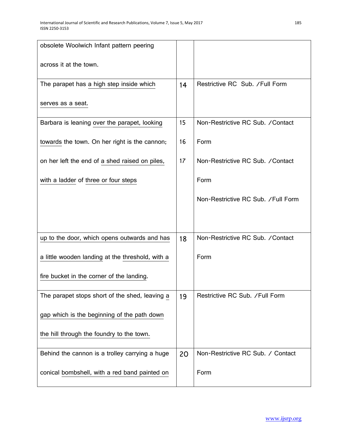| obsolete Woolwich Infant pattern peering         |    |                                     |
|--------------------------------------------------|----|-------------------------------------|
| across it at the town.                           |    |                                     |
| The parapet has a high step inside which         | 14 | Restrictive RC Sub. / Full Form     |
| serves as a seat.                                |    |                                     |
| Barbara is leaning over the parapet, looking     | 15 | Non-Restrictive RC Sub. / Contact   |
| towards the town. On her right is the cannon;    | 16 | Form                                |
| on her left the end of a shed raised on piles,   | 17 | Non-Restrictive RC Sub. / Contact   |
| with a ladder of three or four steps             |    | Form                                |
|                                                  |    | Non-Restrictive RC Sub. / Full Form |
|                                                  |    |                                     |
| up to the door, which opens outwards and has     | 18 | Non-Restrictive RC Sub. / Contact   |
| a little wooden landing at the threshold, with a |    | Form                                |
| fire bucket in the corner of the landing.        |    |                                     |
| The parapet stops short of the shed, leaving a   | 19 | Restrictive RC Sub. /Full Form      |
| gap which is the beginning of the path down      |    |                                     |
| the hill through the foundry to the town.        |    |                                     |
| Behind the cannon is a trolley carrying a huge   | 20 | Non-Restrictive RC Sub. / Contact   |
| conical bombshell, with a red band painted on    |    | Form                                |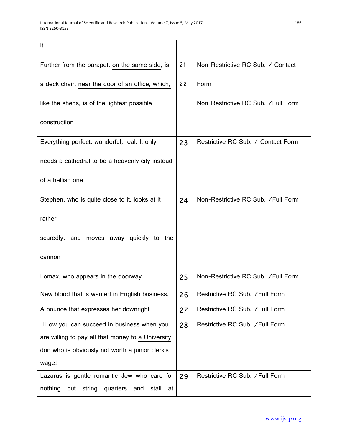| it.                                                        |    |                                     |
|------------------------------------------------------------|----|-------------------------------------|
| Further from the parapet, on the same side, is             | 21 | Non-Restrictive RC Sub. / Contact   |
| a deck chair, near the door of an office, which,           | 22 | Form                                |
| like the sheds, is of the lightest possible                |    | Non-Restrictive RC Sub. / Full Form |
| construction                                               |    |                                     |
| Everything perfect, wonderful, real. It only               | 23 | Restrictive RC Sub. / Contact Form  |
| needs a cathedral to be a heavenly city instead            |    |                                     |
| of a hellish one                                           |    |                                     |
| Stephen, who is quite close to it, looks at it             | 24 | Non-Restrictive RC Sub. /Full Form  |
| rather                                                     |    |                                     |
| scaredly, and moves away quickly to the                    |    |                                     |
| cannon                                                     |    |                                     |
| Lomax, who appears in the doorway                          | 25 | Non-Restrictive RC Sub. / Full Form |
| New blood that is wanted in English business.              | 26 | Restrictive RC Sub. /Full Form      |
| A bounce that expresses her downright                      | 27 | Restrictive RC Sub. / Full Form     |
| H ow you can succeed in business when you                  | 28 | Restrictive RC Sub. /Full Form      |
| are willing to pay all that money to a University          |    |                                     |
| don who is obviously not worth a junior clerk's            |    |                                     |
| wage!                                                      |    |                                     |
| Lazarus is gentle romantic Jew who care for                | 29 | Restrictive RC Sub. / Full Form     |
| nothing<br>but<br>string<br>quarters<br>and<br>stall<br>at |    |                                     |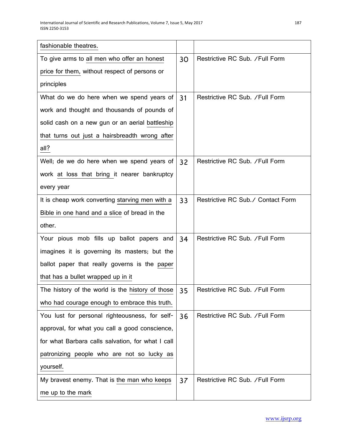| fashionable theatres.                             |    |                                   |
|---------------------------------------------------|----|-----------------------------------|
| To give arms to all men who offer an honest       | 30 | Restrictive RC Sub. / Full Form   |
| price for them, without respect of persons or     |    |                                   |
| principles                                        |    |                                   |
| What do we do here when we spend years of         | 31 | Restrictive RC Sub. / Full Form   |
| work and thought and thousands of pounds of       |    |                                   |
| solid cash on a new gun or an aerial battleship   |    |                                   |
| that turns out just a hairsbreadth wrong after    |    |                                   |
| all?                                              |    |                                   |
| Well; de we do here when we spend years of        | 32 | Restrictive RC Sub. / Full Form   |
| work at loss that bring it nearer bankruptcy      |    |                                   |
| every year                                        |    |                                   |
| It is cheap work converting starving men with a   | 33 | Restrictive RC Sub./ Contact Form |
| Bible in one hand and a slice of bread in the     |    |                                   |
| other.                                            |    |                                   |
| Your pious mob fills up ballot papers and         | 34 | Restrictive RC Sub. / Full Form   |
| imagines it is governing its masters; but the     |    |                                   |
| ballot paper that really governs is the paper     |    |                                   |
| that has a bullet wrapped up in it                |    |                                   |
| The history of the world is the history of those  | 35 | Restrictive RC Sub. /Full Form    |
| who had courage enough to embrace this truth.     |    |                                   |
| You lust for personal righteousness, for self-    | 36 | Restrictive RC Sub. / Full Form   |
| approval, for what you call a good conscience,    |    |                                   |
| for what Barbara calls salvation, for what I call |    |                                   |
| patronizing people who are not so lucky as        |    |                                   |
| yourself.                                         |    |                                   |
| My bravest enemy. That is the man who keeps       | 37 | Restrictive RC Sub. / Full Form   |
| me up to the mark                                 |    |                                   |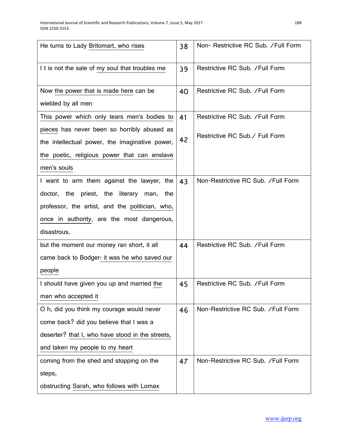| He turns to Lady Britomart, who rises            | 38 | Non-Restrictive RC Sub. / Full Form |
|--------------------------------------------------|----|-------------------------------------|
| I t is not the sale of my soul that troubles me  | 39 | Restrictive RC Sub. / Full Form     |
| Now the power that is made here can be           | 40 | Restrictive RC Sub. / Full Form     |
| wielded by all men                               |    |                                     |
| This power which only tears men's bodies to      | 41 | Restrictive RC Sub. / Full Form     |
| pieces has never been so horribly abused as      |    | Restrictive RC Sub. / Full Form     |
| the intellectual power, the imaginative power,   | 42 |                                     |
| the poetic, religious power that can enslave     |    |                                     |
| men's souls                                      |    |                                     |
| I want to arm them against the lawyer, the       | 43 | Non-Restrictive RC Sub. / Full Form |
| doctor, the priest, the literary man,<br>the     |    |                                     |
| professor, the artist, and the politician, who,  |    |                                     |
| once in authority, are the most dangerous,       |    |                                     |
| disastrous,                                      |    |                                     |
| but the moment our money ran short, it all       | 44 | Restrictive RC Sub. / Full Form     |
| came back to Bodger: it was he who saved our     |    |                                     |
| people                                           |    |                                     |
| I should have given you up and married the       | 45 | Restrictive RC Sub. / Full Form     |
| man who accepted it                              |    |                                     |
| O h, did you think my courage would never        | 46 | Non-Restrictive RC Sub. /Full Form  |
| come back? did you believe that I was a          |    |                                     |
| deserter? that I, who have stood in the streets, |    |                                     |
| and taken my people to my heart                  |    |                                     |
| coming from the shed and stopping on the         | 47 | Non-Restrictive RC Sub. /Full Form  |
| steps,                                           |    |                                     |
| obstructing Sarah, who follows with Lomax        |    |                                     |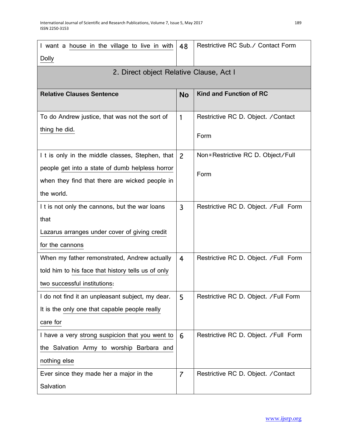| I want a house in the village to live in with      | 48             | Restrictive RC Sub./ Contact Form     |
|----------------------------------------------------|----------------|---------------------------------------|
| <b>Dolly</b>                                       |                |                                       |
| 2. Direct object Relative Clause, Act I            |                |                                       |
|                                                    |                |                                       |
| <b>Relative Clauses Sentence</b>                   | <b>No</b>      | <b>Kind and Function of RC</b>        |
|                                                    |                |                                       |
| To do Andrew justice, that was not the sort of     | 1              | Restrictive RC D. Object. / Contact   |
| thing he did.                                      |                | Form                                  |
|                                                    |                |                                       |
| I t is only in the middle classes, Stephen, that   | $\overline{2}$ | Non=Restrictive RC D. Object/Full     |
| people get into a state of dumb helpless horror    |                | Form                                  |
| when they find that there are wicked people in     |                |                                       |
| the world.                                         |                |                                       |
| I t is not only the cannons, but the war loans     | 3              | Restrictive RC D. Object. / Full Form |
| that                                               |                |                                       |
| Lazarus arranges under cover of giving credit      |                |                                       |
| for the cannons                                    |                |                                       |
| When my father remonstrated, Andrew actually       | 4              | Restrictive RC D. Object. / Full Form |
| told him to his face that history tells us of only |                |                                       |
| two successful institutions:                       |                |                                       |
| I do not find it an unpleasant subject, my dear.   | 5              | Restrictive RC D. Object. / Full Form |
| It is the only one that capable people really      |                |                                       |
| care for                                           |                |                                       |
| I have a very strong suspicion that you went to    | 6              | Restrictive RC D. Object. / Full Form |
| the Salvation Army to worship Barbara and          |                |                                       |
| nothing else                                       |                |                                       |
| Ever since they made her a major in the            | $\overline{7}$ | Restrictive RC D. Object. / Contact   |
| Salvation                                          |                |                                       |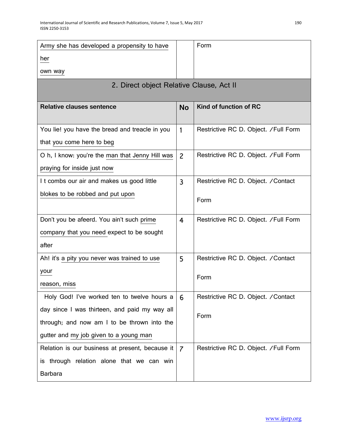| Army she has developed a propensity to have     |                | Form                                  |
|-------------------------------------------------|----------------|---------------------------------------|
| her                                             |                |                                       |
| own way                                         |                |                                       |
| 2. Direct object Relative Clause, Act II        |                |                                       |
| <b>Relative clauses sentence</b>                | <b>No</b>      | Kind of function of RC                |
| You lie! you have the bread and treacle in you  | 1              | Restrictive RC D. Object. / Full Form |
| that you come here to beg                       |                |                                       |
| O h, I know: you're the man that Jenny Hill was | $\overline{2}$ | Restrictive RC D. Object. / Full Form |
| praying for inside just now                     |                |                                       |
| I t combs our air and makes us good little      | 3              | Restrictive RC D. Object. / Contact   |
| blokes to be robbed and put upon                |                | Form                                  |
| Don't you be afeerd. You ain't such prime       | $\overline{4}$ | Restrictive RC D. Object. / Full Form |
| company that you need expect to be sought       |                |                                       |
| after                                           |                |                                       |
| Ah! it's a pity you never was trained to use    | 5              | Restrictive RC D. Object. / Contact   |
| your                                            |                | Form                                  |
| reason, miss                                    |                |                                       |
| Holy God! I've worked ten to twelve hours a     | 6              | Restrictive RC D. Object. / Contact   |
| day since I was thirteen, and paid my way all   |                | Form                                  |
| through; and now am I to be thrown into the     |                |                                       |
| gutter and my job given to a young man          |                |                                       |
| Relation is our business at present, because it | $\overline{7}$ | Restrictive RC D. Object. / Full Form |
| is through relation alone that we can win       |                |                                       |
| <b>Barbara</b>                                  |                |                                       |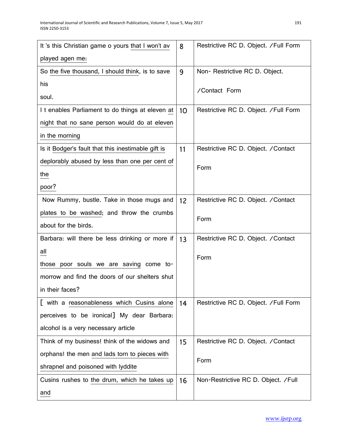| It 's this Christian game o yours that I won't av  | 8               | Restrictive RC D. Object. / Full Form |
|----------------------------------------------------|-----------------|---------------------------------------|
| played agen me:                                    |                 |                                       |
| So the five thousand, I should think, is to save   | 9               | Non- Restrictive RC D. Object.        |
| his                                                |                 | /Contact Form                         |
| soul.                                              |                 |                                       |
| I t enables Parliament to do things at eleven at   | 10 <sup>°</sup> | Restrictive RC D. Object. / Full Form |
| night that no sane person would do at eleven       |                 |                                       |
| in the morning                                     |                 |                                       |
| Is it Bodger's fault that this inestimable gift is | 11              | Restrictive RC D. Object. / Contact   |
| deplorably abused by less than one per cent of     |                 | Form                                  |
| the                                                |                 |                                       |
| poor?                                              |                 |                                       |
| Now Rummy, bustle. Take in those mugs and          | 12              | Restrictive RC D. Object. / Contact   |
| plates to be washed; and throw the crumbs          |                 | Form                                  |
| about for the birds.                               |                 |                                       |
| Barbara: will there be less drinking or more if    | 13              | Restrictive RC D. Object. / Contact   |
| all                                                |                 | Form                                  |
| those poor souls we are saving come to-            |                 |                                       |
| morrow and find the doors of our shelters shut     |                 |                                       |
| in their faces?                                    |                 |                                       |
| [ with a reasonableness which Cusins alone         | 14              | Restrictive RC D. Object. / Full Form |
| perceives to be ironical] My dear Barbara:         |                 |                                       |
| alcohol is a very necessary article                |                 |                                       |
| Think of my business! think of the widows and      | 15              | Restrictive RC D. Object. / Contact   |
| orphans! the men and lads torn to pieces with      |                 | Form                                  |
| shrapnel and poisoned with lyddite                 |                 |                                       |
| Cusins rushes to the drum, which he takes up       | 16              | Non-Restrictive RC D. Object. / Full  |
| and                                                |                 |                                       |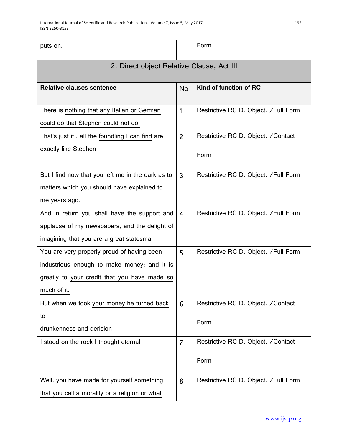| puts on.                                          |                | Form                                  |  |
|---------------------------------------------------|----------------|---------------------------------------|--|
| 2. Direct object Relative Clause, Act III         |                |                                       |  |
| <b>Relative clauses sentence</b>                  | No             | Kind of function of RC                |  |
| There is nothing that any Italian or German       | 1              | Restrictive RC D. Object. / Full Form |  |
| could do that Stephen could not do.               |                |                                       |  |
| That's just it : all the foundling I can find are | $\overline{2}$ | Restrictive RC D. Object. / Contact   |  |
| exactly like Stephen                              |                | Form                                  |  |
| But I find now that you left me in the dark as to | $\overline{3}$ | Restrictive RC D. Object. / Full Form |  |
| matters which you should have explained to        |                |                                       |  |
| me years ago.                                     |                |                                       |  |
| And in return you shall have the support and      | $\overline{4}$ | Restrictive RC D. Object. / Full Form |  |
| applause of my newspapers, and the delight of     |                |                                       |  |
| imagining that you are a great statesman          |                |                                       |  |
| You are very properly proud of having been        | 5              | Restrictive RC D. Object. / Full Form |  |
| industrious enough to make money; and it is       |                |                                       |  |
| greatly to your credit that you have made so      |                |                                       |  |
| much of it.                                       |                |                                       |  |
| But when we took your money he turned back        | 6              | Restrictive RC D. Object. / Contact   |  |
| $\overline{\mathsf{L}}$                           |                | Form                                  |  |
| drunkenness and derision                          |                |                                       |  |
| I stood on the rock I thought eternal             | $\overline{7}$ | Restrictive RC D. Object. / Contact   |  |
|                                                   |                | Form                                  |  |
| Well, you have made for yourself something        | 8              | Restrictive RC D. Object. / Full Form |  |
| that you call a morality or a religion or what    |                |                                       |  |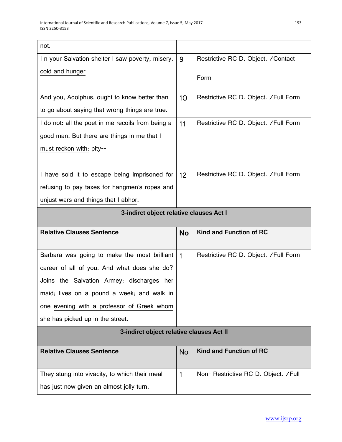| not.                                              |                 |                                       |
|---------------------------------------------------|-----------------|---------------------------------------|
| In your Salvation shelter I saw poverty, misery,  | 9               | Restrictive RC D. Object. / Contact   |
| cold and hunger                                   |                 | Form                                  |
|                                                   |                 |                                       |
| And you, Adolphus, ought to know better than      | 10 <sup>°</sup> | Restrictive RC D. Object. / Full Form |
| to go about saying that wrong things are true.    |                 |                                       |
| I do not: all the poet in me recoils from being a | 11              | Restrictive RC D. Object. / Full Form |
| good man. But there are things in me that I       |                 |                                       |
| must reckon with: pity--                          |                 |                                       |
|                                                   |                 |                                       |
| I have sold it to escape being imprisoned for     | 12              | Restrictive RC D. Object. / Full Form |
| refusing to pay taxes for hangmen's ropes and     |                 |                                       |
| unjust wars and things that I abhor.              |                 |                                       |
| 3-indirct object relative clauses Act I           |                 |                                       |
|                                                   |                 |                                       |
| <b>Relative Clauses Sentence</b>                  | <b>No</b>       | Kind and Function of RC               |
|                                                   |                 |                                       |
| Barbara was going to make the most brilliant      | $\mathbf{1}$    | Restrictive RC D. Object. / Full Form |
| career of all of you. And what does she do?       |                 |                                       |
| Joins the Salvation Armey; discharges her         |                 |                                       |
| maid; lives on a pound a week; and walk in        |                 |                                       |
| one evening with a professor of Greek whom        |                 |                                       |
| she has picked up in the street.                  |                 |                                       |
| 3-indirct object relative clauses Act II          |                 |                                       |
| <b>Relative Clauses Sentence</b>                  | <b>No</b>       | Kind and Function of RC               |
| They stung into vivacity, to which their meal     | 1               | Non- Restrictive RC D. Object. / Full |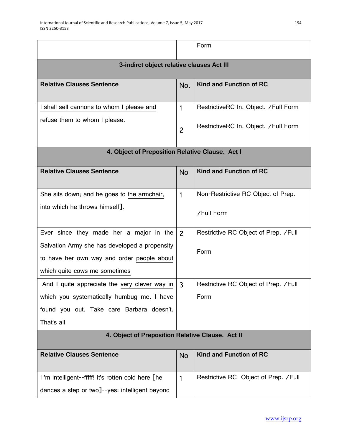|                                                                                                                              |                | Form                                  |  |
|------------------------------------------------------------------------------------------------------------------------------|----------------|---------------------------------------|--|
| 3-indirct object relative clauses Act III                                                                                    |                |                                       |  |
| <b>Relative Clauses Sentence</b>                                                                                             | No.            | <b>Kind and Function of RC</b>        |  |
| I shall sell cannons to whom I please and                                                                                    | 1              | RestrictiveRC In. Object. / Full Form |  |
| refuse them to whom I please.                                                                                                | $\overline{c}$ | RestrictiveRC In. Object. /Full Form  |  |
| 4. Object of Preposition Relative Clause. Act I                                                                              |                |                                       |  |
| <b>Relative Clauses Sentence</b>                                                                                             | <b>No</b>      | <b>Kind and Function of RC</b>        |  |
| She sits down; and he goes to the armchair,                                                                                  | 1              | Non-Restrictive RC Object of Prep.    |  |
| into which he throws himself].                                                                                               |                | /Full Form                            |  |
| Ever since they made her a major in the                                                                                      | $\overline{2}$ | Restrictive RC Object of Prep. / Full |  |
| Salvation Army she has developed a propensity<br>to have her own way and order people about<br>which quite cows me sometimes |                | Form                                  |  |
| And I quite appreciate the very clever way in                                                                                | $\overline{3}$ | Restrictive RC Object of Prep. / Full |  |
| which you systematically humbug me. I have                                                                                   |                | Form                                  |  |
| found you out. Take care Barbara doesn't.                                                                                    |                |                                       |  |
| That's all                                                                                                                   |                |                                       |  |
| 4. Object of Preposition Relative Clause. Act II                                                                             |                |                                       |  |
| <b>Relative Clauses Sentence</b>                                                                                             | <b>No</b>      | Kind and Function of RC               |  |
| I'm intelligent--fffff! it's rotten cold here [he                                                                            | 1              | Restrictive RC Object of Prep. / Full |  |
| dances a step or two]--yes: intelligent beyond                                                                               |                |                                       |  |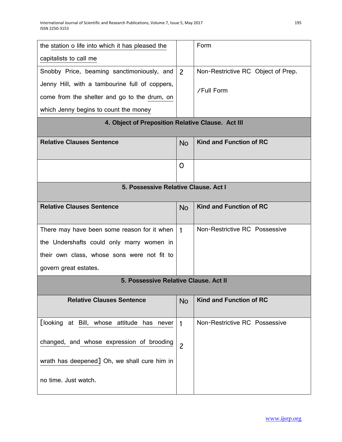| the station o life into which it has pleased the  |                | Form                               |  |
|---------------------------------------------------|----------------|------------------------------------|--|
| capitalists to call me                            |                |                                    |  |
| Snobby Price, beaming sanctimoniously, and        | $\overline{2}$ | Non-Restrictive RC Object of Prep. |  |
| Jenny Hill, with a tambourine full of coppers,    |                | /Full Form                         |  |
| come from the shelter and go to the drum, on      |                |                                    |  |
| which Jenny begins to count the money             |                |                                    |  |
| 4. Object of Preposition Relative Clause. Act III |                |                                    |  |
| <b>Relative Clauses Sentence</b>                  | <b>No</b>      | <b>Kind and Function of RC</b>     |  |
|                                                   | O              |                                    |  |
| 5. Possessive Relative Clause, Act I              |                |                                    |  |
|                                                   |                |                                    |  |
| <b>Relative Clauses Sentence</b>                  | <b>No</b>      | <b>Kind and Function of RC</b>     |  |
| There may have been some reason for it when       | 1              | Non-Restrictive RC Possessive      |  |
| the Undershafts could only marry women in         |                |                                    |  |
| their own class, whose sons were not fit to       |                |                                    |  |
| govern great estates.                             |                |                                    |  |
| 5. Possessive Relative Clause, Act II             |                |                                    |  |
| <b>Relative Clauses Sentence</b>                  | <b>No</b>      | <b>Kind and Function of RC</b>     |  |
| [looking at Bill, whose attitude has never        | 1              | Non-Restrictive RC Possessive      |  |
| changed, and whose expression of brooding         | $\overline{c}$ |                                    |  |
| wrath has deepened] Oh, we shall cure him in      |                |                                    |  |
| no time. Just watch.                              |                |                                    |  |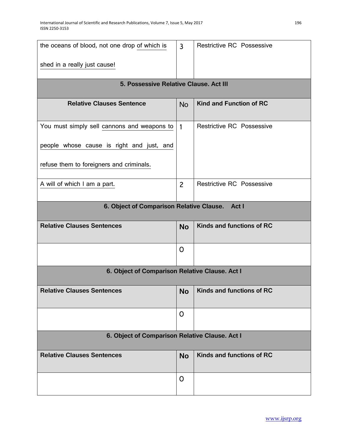| the oceans of blood, not one drop of which is     | $\mathsf{3}$   | <b>Restrictive RC Possessive</b> |  |
|---------------------------------------------------|----------------|----------------------------------|--|
| shed in a really just cause!                      |                |                                  |  |
|                                                   |                |                                  |  |
| 5. Possessive Relative Clause. Act III            |                |                                  |  |
| <b>Relative Clauses Sentence</b>                  | <b>No</b>      | Kind and Function of RC          |  |
| You must simply sell cannons and weapons to       | $\mathbf{1}$   | <b>Restrictive RC Possessive</b> |  |
| people whose cause is right and just, and         |                |                                  |  |
| refuse them to foreigners and criminals.          |                |                                  |  |
| A will of which I am a part.                      | $\overline{2}$ | Restrictive RC Possessive        |  |
| 6. Object of Comparison Relative Clause.<br>Act I |                |                                  |  |
| <b>Relative Clauses Sentences</b>                 | <b>No</b>      | Kinds and functions of RC        |  |
|                                                   | $\mathsf{O}$   |                                  |  |
| 6. Object of Comparison Relative Clause. Act I    |                |                                  |  |
| <b>Relative Clauses Sentences</b>                 | No             | Kinds and functions of RC        |  |
|                                                   | $\mathsf{O}$   |                                  |  |
| 6. Object of Comparison Relative Clause. Act I    |                |                                  |  |
| <b>Relative Clauses Sentences</b>                 | <b>No</b>      | Kinds and functions of RC        |  |
|                                                   | $\mathsf{O}$   |                                  |  |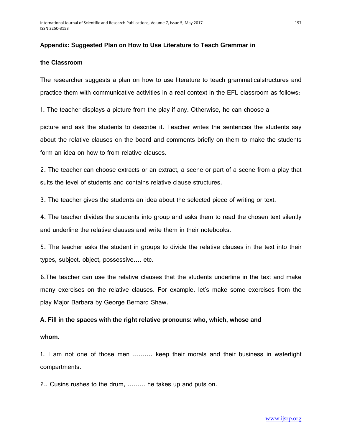#### **Appendix: Suggested Plan on How to Use Literature to Teach Grammar in**

#### **the Classroom**

The researcher suggests a plan on how to use literature to teach grammaticalstructures and practice them with communicative activities in a real context in the EFL classroom as follows:

1. The teacher displays a picture from the play if any. Otherwise, he can choose a

picture and ask the students to describe it. Teacher writes the sentences the students say about the relative clauses on the board and comments briefly on them to make the students form an idea on how to from relative clauses.

2. The teacher can choose extracts or an extract, a scene or part of a scene from a play that suits the level of students and contains relative clause structures.

3. The teacher gives the students an idea about the selected piece of writing or text.

4. The teacher divides the students into group and asks them to read the chosen text silently and underline the relative clauses and write them in their notebooks.

5. The teacher asks the student in groups to divide the relative clauses in the text into their types, subject, object, possessive…. etc.

6.The teacher can use the relative clauses that the students underline in the text and make many exercises on the relative clauses. For example, let's make some exercises from the play Major Barbara by George Bernard Shaw.

#### **A. Fill in the spaces with the right relative pronouns: who, which, whose and**

#### **whom.**

1. I am not one of those men ………. keep their morals and their business in watertight compartments.

2.. Cusins rushes to the drum, ……… he takes up and puts on.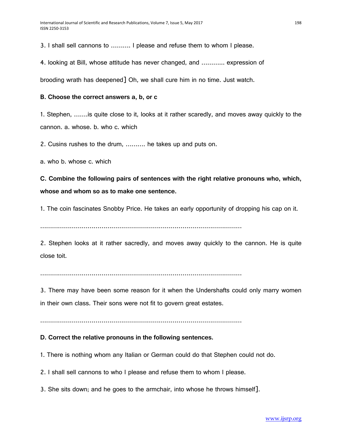3. I shall sell cannons to ………. I please and refuse them to whom I please.

4. looking at Bill, whose attitude has never changed, and ………... expression of

brooding wrath has deepened] Oh, we shall cure him in no time. Just watch.

#### **B. Choose the correct answers a, b, or c**

1. Stephen, …….is quite close to it, looks at it rather scaredly, and moves away quickly to the cannon. a. whose. b. who c. which

2. Cusins rushes to the drum, ………. he takes up and puts on.

a. who b. whose c. which

**C. Combine the following pairs of sentences with the right relative pronouns who, which, whose and whom so as to make one sentence.** 

1. The coin fascinates Snobby Price. He takes an early opportunity of dropping his cap on it.

…………………………………………………………………………………………

2. Stephen looks at it rather sacredly, and moves away quickly to the cannon. He is quite close toit.

…………………………………………………………………………………………

3. There may have been some reason for it when the Undershafts could only marry women in their own class. Their sons were not fit to govern great estates.

…………………………………………………………………………………………

# **D. Correct the relative pronouns in the following sentences.**

1. There is nothing whom any Italian or German could do that Stephen could not do.

2. I shall sell cannons to who I please and refuse them to whom I please.

3. She sits down; and he goes to the armchair, into whose he throws himself].